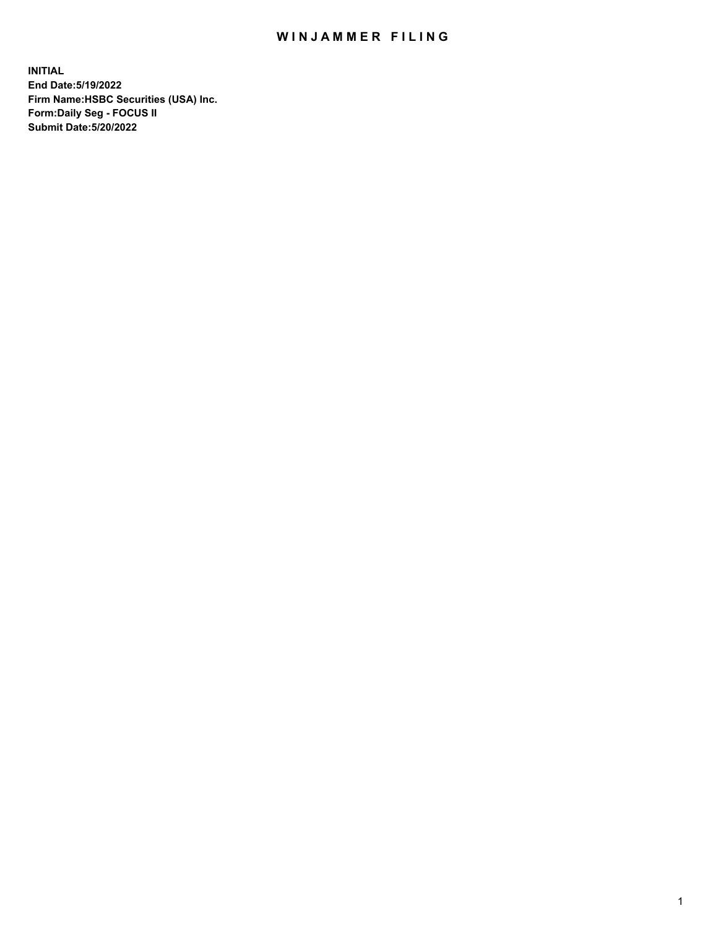## WIN JAMMER FILING

**INITIAL End Date:5/19/2022 Firm Name:HSBC Securities (USA) Inc. Form:Daily Seg - FOCUS II Submit Date:5/20/2022**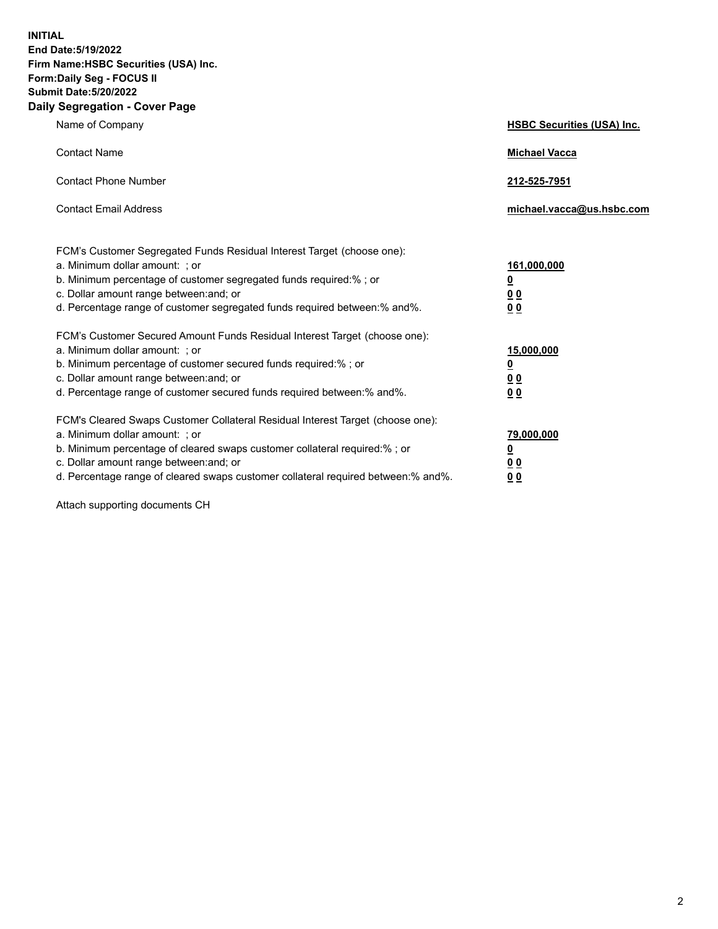**INITIAL End Date:5/19/2022 Firm Name:HSBC Securities (USA) Inc. Form:Daily Seg - FOCUS II Submit Date:5/20/2022 Daily Segregation - Cover Page**

| Name of Company                                                                                                                                                                                                                                                                                                               | <b>HSBC Securities (USA) Inc.</b>                           |
|-------------------------------------------------------------------------------------------------------------------------------------------------------------------------------------------------------------------------------------------------------------------------------------------------------------------------------|-------------------------------------------------------------|
| <b>Contact Name</b>                                                                                                                                                                                                                                                                                                           | <b>Michael Vacca</b>                                        |
| <b>Contact Phone Number</b>                                                                                                                                                                                                                                                                                                   | 212-525-7951                                                |
| <b>Contact Email Address</b>                                                                                                                                                                                                                                                                                                  | michael.vacca@us.hsbc.com                                   |
| FCM's Customer Segregated Funds Residual Interest Target (choose one):<br>a. Minimum dollar amount: ; or<br>b. Minimum percentage of customer segregated funds required:% ; or<br>c. Dollar amount range between: and; or<br>d. Percentage range of customer segregated funds required between:% and%.                        | 161,000,000<br><u>0</u><br>0 <sub>0</sub><br>0 <sub>0</sub> |
| FCM's Customer Secured Amount Funds Residual Interest Target (choose one):<br>a. Minimum dollar amount: ; or<br>b. Minimum percentage of customer secured funds required:%; or<br>c. Dollar amount range between: and; or<br>d. Percentage range of customer secured funds required between: % and %.                         | 15,000,000<br><u>0</u><br>0 <sub>0</sub><br>0 <sub>0</sub>  |
| FCM's Cleared Swaps Customer Collateral Residual Interest Target (choose one):<br>a. Minimum dollar amount: : or<br>b. Minimum percentage of cleared swaps customer collateral required:%; or<br>c. Dollar amount range between: and; or<br>d. Percentage range of cleared swaps customer collateral required between:% and%. | 79,000,000<br><u>0</u><br>00<br>00                          |

Attach supporting documents CH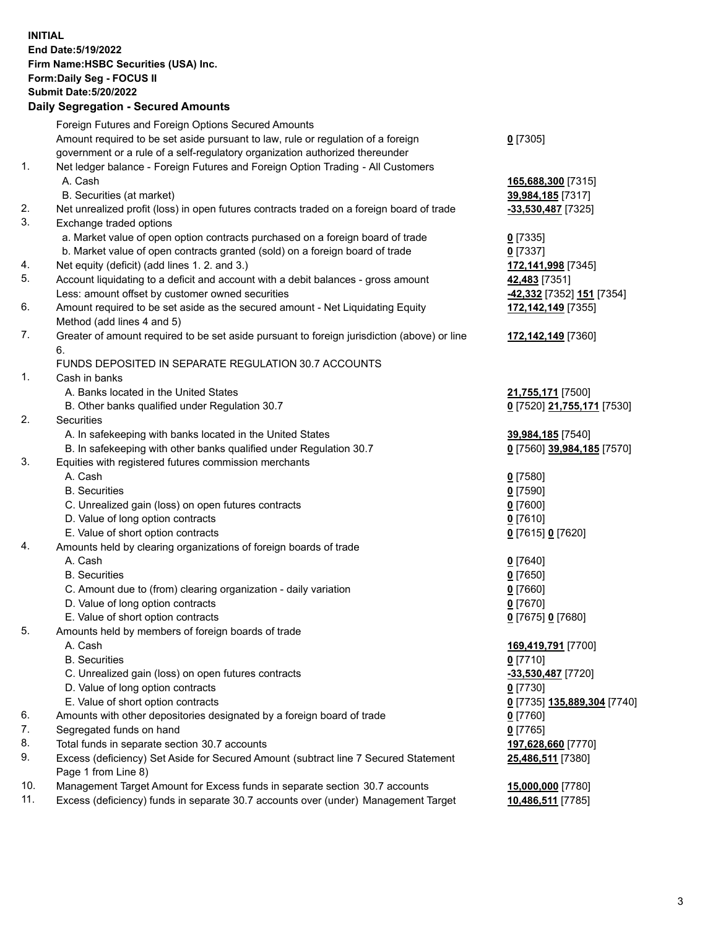**INITIAL End Date:5/19/2022 Firm Name:HSBC Securities (USA) Inc. Form:Daily Seg - FOCUS II Submit Date:5/20/2022 Daily Segregation - Secured Amounts** Foreign Futures and Foreign Options Secured Amounts Amount required to be set aside pursuant to law, rule or regulation of a foreign government or a rule of a self-regulatory organization authorized thereunder **0** [7305] 1. Net ledger balance - Foreign Futures and Foreign Option Trading - All Customers A. Cash **165,688,300** [7315] B. Securities (at market) **39,984,185** [7317] 2. Net unrealized profit (loss) in open futures contracts traded on a foreign board of trade **-33,530,487** [7325] 3. Exchange traded options a. Market value of open option contracts purchased on a foreign board of trade **0** [7335] b. Market value of open contracts granted (sold) on a foreign board of trade **0** [7337] 4. Net equity (deficit) (add lines 1. 2. and 3.) **172,141,998** [7345] 5. Account liquidating to a deficit and account with a debit balances - gross amount **42,483** [7351] Less: amount offset by customer owned securities **-42,332** [7352] **151** [7354] 6. Amount required to be set aside as the secured amount - Net Liquidating Equity Method (add lines 4 and 5) **172,142,149** [7355] 7. Greater of amount required to be set aside pursuant to foreign jurisdiction (above) or line 6. **172,142,149** [7360] FUNDS DEPOSITED IN SEPARATE REGULATION 30.7 ACCOUNTS 1. Cash in banks A. Banks located in the United States **21,755,171** [7500] B. Other banks qualified under Regulation 30.7 **0** [7520] **21,755,171** [7530] 2. Securities A. In safekeeping with banks located in the United States **39,984,185** [7540] B. In safekeeping with other banks qualified under Regulation 30.7 **0** [7560] **39,984,185** [7570] 3. Equities with registered futures commission merchants A. Cash **0** [7580] B. Securities **0** [7590] C. Unrealized gain (loss) on open futures contracts **0** [7600] D. Value of long option contracts **0** [7610] E. Value of short option contracts **0** [7615] **0** [7620] 4. Amounts held by clearing organizations of foreign boards of trade A. Cash **0** [7640] B. Securities **0** [7650] C. Amount due to (from) clearing organization - daily variation **0** [7660] D. Value of long option contracts **0** [7670] E. Value of short option contracts **0** [7675] **0** [7680] 5. Amounts held by members of foreign boards of trade A. Cash **169,419,791** [7700] B. Securities **0** [7710] C. Unrealized gain (loss) on open futures contracts **-33,530,487** [7720] D. Value of long option contracts **0** [7730] E. Value of short option contracts **0** [7735] **135,889,304** [7740] 6. Amounts with other depositories designated by a foreign board of trade **0** [7760] 7. Segregated funds on hand **0** [7765] 8. Total funds in separate section 30.7 accounts **197,628,660** [7770] 9. Excess (deficiency) Set Aside for Secured Amount (subtract line 7 Secured Statement Page 1 from Line 8) **25,486,511** [7380] 10. Management Target Amount for Excess funds in separate section 30.7 accounts **15,000,000** [7780]

11. Excess (deficiency) funds in separate 30.7 accounts over (under) Management Target **10,486,511** [7785]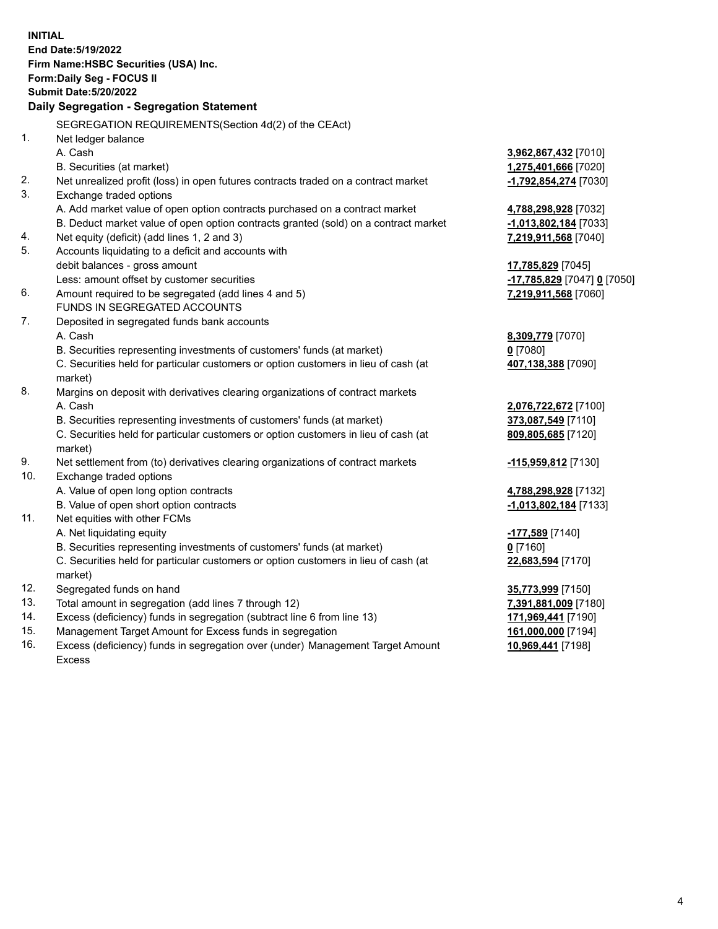| <b>INITIAL</b> |                                                                                                |                             |
|----------------|------------------------------------------------------------------------------------------------|-----------------------------|
|                | End Date: 5/19/2022                                                                            |                             |
|                | Firm Name: HSBC Securities (USA) Inc.                                                          |                             |
|                | Form: Daily Seg - FOCUS II                                                                     |                             |
|                | <b>Submit Date: 5/20/2022</b>                                                                  |                             |
|                | Daily Segregation - Segregation Statement                                                      |                             |
|                | SEGREGATION REQUIREMENTS(Section 4d(2) of the CEAct)                                           |                             |
| 1.             | Net ledger balance                                                                             |                             |
|                | A. Cash                                                                                        | 3,962,867,432 [7010]        |
|                | B. Securities (at market)                                                                      | 1,275,401,666 [7020]        |
| 2.             | Net unrealized profit (loss) in open futures contracts traded on a contract market             | -1,792,854,274 [7030]       |
| 3.             | Exchange traded options                                                                        |                             |
|                | A. Add market value of open option contracts purchased on a contract market                    | 4,788,298,928 [7032]        |
|                | B. Deduct market value of open option contracts granted (sold) on a contract market            | $-1,013,802,184$ [7033]     |
| 4.             | Net equity (deficit) (add lines 1, 2 and 3)                                                    | 7,219,911,568 [7040]        |
| 5.             | Accounts liquidating to a deficit and accounts with                                            |                             |
|                | debit balances - gross amount                                                                  | 17,785,829 [7045]           |
|                | Less: amount offset by customer securities                                                     | -17,785,829 [7047] 0 [7050] |
| 6.             | Amount required to be segregated (add lines 4 and 5)                                           | 7,219,911,568 [7060]        |
|                | FUNDS IN SEGREGATED ACCOUNTS                                                                   |                             |
| 7.             | Deposited in segregated funds bank accounts                                                    |                             |
|                | A. Cash                                                                                        | 8,309,779 [7070]            |
|                | B. Securities representing investments of customers' funds (at market)                         | $0$ [7080]                  |
|                | C. Securities held for particular customers or option customers in lieu of cash (at<br>market) | 407,138,388 [7090]          |
| 8.             | Margins on deposit with derivatives clearing organizations of contract markets                 |                             |
|                | A. Cash                                                                                        | 2,076,722,672 [7100]        |
|                | B. Securities representing investments of customers' funds (at market)                         | 373,087,549 [7110]          |
|                | C. Securities held for particular customers or option customers in lieu of cash (at<br>market) | 809,805,685 [7120]          |
| 9.             | Net settlement from (to) derivatives clearing organizations of contract markets                | -115,959,812 [7130]         |
| 10.            | Exchange traded options                                                                        |                             |
|                | A. Value of open long option contracts                                                         | 4,788,298,928 [7132]        |
|                | B. Value of open short option contracts                                                        | -1,013,802,184 [7133]       |
| 11.            | Net equities with other FCMs                                                                   |                             |
|                | A. Net liquidating equity                                                                      | -177,589 [7140]             |
|                | B. Securities representing investments of customers' funds (at market)                         | $0$ [7160]                  |
|                | C. Securities held for particular customers or option customers in lieu of cash (at<br>market) | 22,683,594 [7170]           |
| 12.            | Segregated funds on hand                                                                       | 35,773,999 [7150]           |
| 13.            | Total amount in segregation (add lines 7 through 12)                                           | 7,391,881,009 [7180]        |
| 14.            | Excess (deficiency) funds in segregation (subtract line 6 from line 13)                        | 171,969,441 [7190]          |
| 15.            | Management Target Amount for Excess funds in segregation                                       | 161,000,000 [7194]          |
|                |                                                                                                |                             |

16. Excess (deficiency) funds in segregation over (under) Management Target Amount Excess

**10,969,441** [7198]